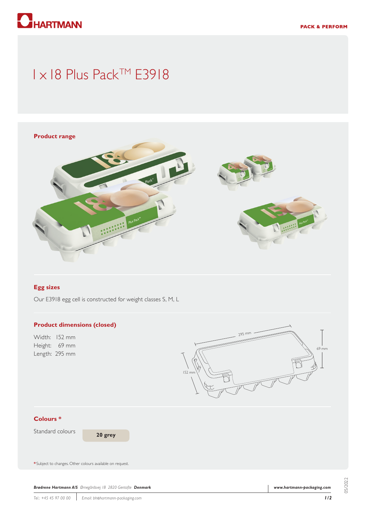

# 1 x 18 Plus Pack™ E3918



# **Egg sizes**

Our E3918 egg cell is constructed for weight classes S, M, L

#### **Product dimensions (closed)**

Width: 152 mm Height: 69 mm Length: 295 mm



## **Colours \***

Standard colours

**20 grey**

**\*** Subject to changes. Other colours available on request.

*Brødrene Hartmann A/S Ørnegårdsvej 18 2820 Gentofte Denmark*

05/2022